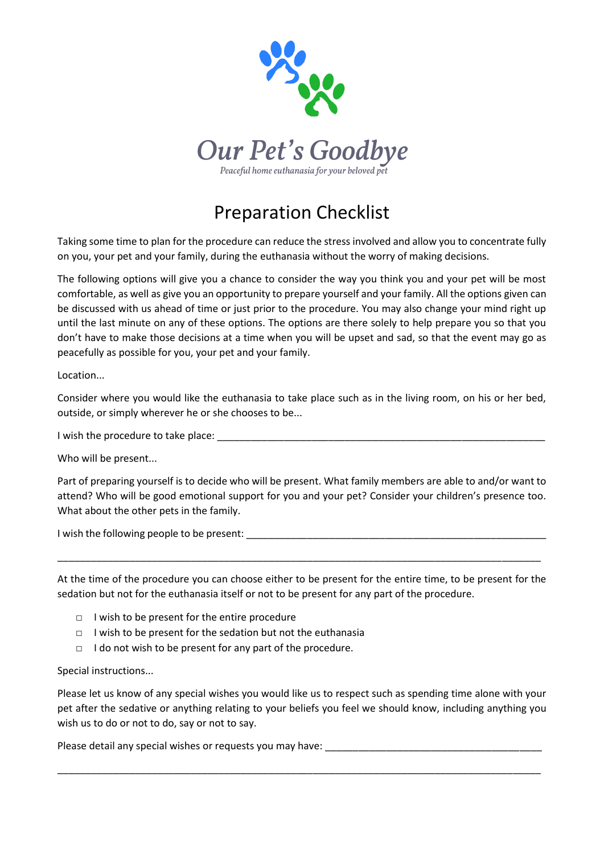

## Preparation Checklist

Taking some time to plan for the procedure can reduce the stress involved and allow you to concentrate fully on you, your pet and your family, during the euthanasia without the worry of making decisions.

The following options will give you a chance to consider the way you think you and your pet will be most comfortable, as well as give you an opportunity to prepare yourself and your family. All the options given can be discussed with us ahead of time or just prior to the procedure. You may also change your mind right up until the last minute on any of these options. The options are there solely to help prepare you so that you don't have to make those decisions at a time when you will be upset and sad, so that the event may go as peacefully as possible for you, your pet and your family.

Location...

Consider where you would like the euthanasia to take place such as in the living room, on his or her bed, outside, or simply wherever he or she chooses to be...

I wish the procedure to take place: \_\_\_\_\_\_\_\_\_\_\_\_\_\_\_\_\_\_\_\_\_\_\_\_\_\_\_\_\_\_\_\_\_\_\_\_\_\_\_\_\_\_\_\_\_\_\_\_\_\_\_\_\_\_\_\_\_\_\_

Who will be present...

Part of preparing yourself is to decide who will be present. What family members are able to and/or want to attend? Who will be good emotional support for you and your pet? Consider your children's presence too. What about the other pets in the family.

I wish the following people to be present:

At the time of the procedure you can choose either to be present for the entire time, to be present for the sedation but not for the euthanasia itself or not to be present for any part of the procedure.

\_\_\_\_\_\_\_\_\_\_\_\_\_\_\_\_\_\_\_\_\_\_\_\_\_\_\_\_\_\_\_\_\_\_\_\_\_\_\_\_\_\_\_\_\_\_\_\_\_\_\_\_\_\_\_\_\_\_\_\_\_\_\_\_\_\_\_\_\_\_\_\_\_\_\_\_\_\_\_\_\_\_\_\_\_\_\_

- □ I wish to be present for the entire procedure
- □ I wish to be present for the sedation but not the euthanasia
- □ I do not wish to be present for any part of the procedure.

Special instructions...

Please let us know of any special wishes you would like us to respect such as spending time alone with your pet after the sedative or anything relating to your beliefs you feel we should know, including anything you wish us to do or not to do, say or not to say.

\_\_\_\_\_\_\_\_\_\_\_\_\_\_\_\_\_\_\_\_\_\_\_\_\_\_\_\_\_\_\_\_\_\_\_\_\_\_\_\_\_\_\_\_\_\_\_\_\_\_\_\_\_\_\_\_\_\_\_\_\_\_\_\_\_\_\_\_\_\_\_\_\_\_\_\_\_\_\_\_\_\_\_\_\_\_\_

Please detail any special wishes or requests you may have: \_\_\_\_\_\_\_\_\_\_\_\_\_\_\_\_\_\_\_\_\_\_